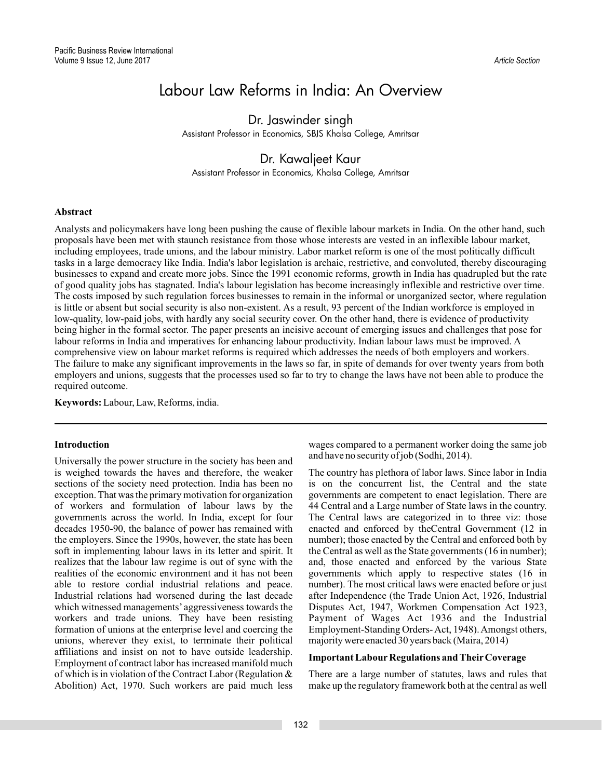# Labour Law Reforms in India: An Overview

Dr. Jaswinder singh Assistant Professor in Economics, SBJS Khalsa College, Amritsar

## Dr. Kawaljeet Kaur

Assistant Professor in Economics, Khalsa College, Amritsar

### **Abstract**

Analysts and policymakers have long been pushing the cause of flexible labour markets in India. On the other hand, such proposals have been met with staunch resistance from those whose interests are vested in an inflexible labour market, including employees, trade unions, and the labour ministry. Labor market reform is one of the most politically difficult tasks in a large democracy like India. India's labor legislation is archaic, restrictive, and convoluted, thereby discouraging businesses to expand and create more jobs. Since the 1991 economic reforms, growth in India has quadrupled but the rate of good quality jobs has stagnated. India's labour legislation has become increasingly inflexible and restrictive over time. The costs imposed by such regulation forces businesses to remain in the informal or unorganized sector, where regulation is little or absent but social security is also non-existent. As a result, 93 percent of the Indian workforce is employed in low-quality, low-paid jobs, with hardly any social security cover. On the other hand, there is evidence of productivity being higher in the formal sector. The paper presents an incisive account of emerging issues and challenges that pose for labour reforms in India and imperatives for enhancing labour productivity. Indian labour laws must be improved. A comprehensive view on labour market reforms is required which addresses the needs of both employers and workers. The failure to make any significant improvements in the laws so far, in spite of demands for over twenty years from both employers and unions, suggests that the processes used so far to try to change the laws have not been able to produce the required outcome.

**Keywords:** Labour, Law, Reforms, india.

### **Introduction**

Universally the power structure in the society has been and is weighed towards the haves and therefore, the weaker sections of the society need protection. India has been no exception. That was the primary motivation for organization of workers and formulation of labour laws by the governments across the world. In India, except for four decades 1950-90, the balance of power has remained with the employers. Since the 1990s, however, the state has been soft in implementing labour laws in its letter and spirit. It realizes that the labour law regime is out of sync with the realities of the economic environment and it has not been able to restore cordial industrial relations and peace. Industrial relations had worsened during the last decade which witnessed managements' aggressiveness towards the workers and trade unions. They have been resisting formation of unions at the enterprise level and coercing the unions, wherever they exist, to terminate their political affiliations and insist on not to have outside leadership. Employment of contract labor has increased manifold much of which is in violation of the Contract Labor (Regulation & Abolition) Act, 1970. Such workers are paid much less

wages compared to a permanent worker doing the same job and have no security of job (Sodhi, 2014).

The country has plethora of labor laws. Since labor in India is on the concurrent list, the Central and the state governments are competent to enact legislation. There are 44 Central and a Large number of State laws in the country. The Central laws are categorized in to three viz: those enacted and enforced by theCentral Government (12 in number); those enacted by the Central and enforced both by the Central as well as the State governments (16 in number); and, those enacted and enforced by the various State governments which apply to respective states (16 in number). The most critical laws were enacted before or just after Independence (the Trade Union Act, 1926, Industrial Disputes Act, 1947, Workmen Compensation Act 1923, Payment of Wages Act 1936 and the Industrial Employment-Standing Orders-Act, 1948).Amongst others, majority were enacted 30 years back (Maira, 2014)

### **Important Labour Regulations and Their Coverage**

There are a large number of statutes, laws and rules that make up the regulatory framework both at the central as well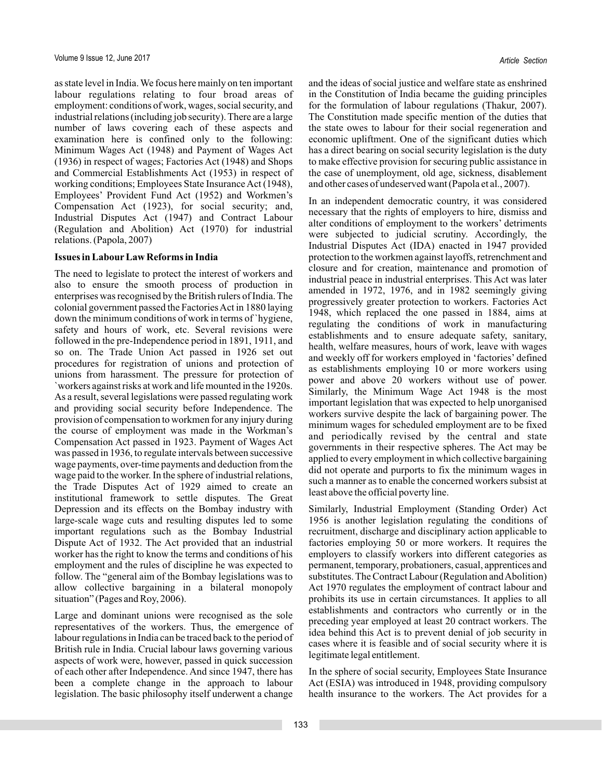as state level in India. We focus here mainly on ten important labour regulations relating to four broad areas of employment: conditions of work, wages, social security, and industrial relations (including job security). There are a large number of laws covering each of these aspects and examination here is confined only to the following: Minimum Wages Act (1948) and Payment of Wages Act (1936) in respect of wages; Factories Act (1948) and Shops and Commercial Establishments Act (1953) in respect of working conditions; Employees State Insurance Act (1948), Employees' Provident Fund Act (1952) and Workmen's Compensation Act (1923), for social security; and, Industrial Disputes Act (1947) and Contract Labour (Regulation and Abolition) Act (1970) for industrial relations. (Papola, 2007)

### **Issues in Labour Law Reforms in India**

The need to legislate to protect the interest of workers and also to ensure the smooth process of production in enterprises was recognised by the British rulers of India. The colonial government passed the FactoriesAct in 1880 laying down the minimum conditions of work in terms of `hygiene, safety and hours of work, etc. Several revisions were followed in the pre-Independence period in 1891, 1911, and so on. The Trade Union Act passed in 1926 set out procedures for registration of unions and protection of unions from harassment. The pressure for protection of `workers against risks at work and life mounted in the 1920s. As a result, several legislations were passed regulating work and providing social security before Independence. The provision of compensation to workmen for any injury during the course of employment was made in the Workman's Compensation Act passed in 1923. Payment of Wages Act was passed in 1936, to regulate intervals between successive wage payments, over-time payments and deduction from the wage paid to the worker. In the sphere of industrial relations, the Trade Disputes Act of 1929 aimed to create an institutional framework to settle disputes. The Great Depression and its effects on the Bombay industry with large-scale wage cuts and resulting disputes led to some important regulations such as the Bombay Industrial Dispute Act of 1932. The Act provided that an industrial worker has the right to know the terms and conditions of his employment and the rules of discipline he was expected to follow. The "general aim of the Bombay legislations was to allow collective bargaining in a bilateral monopoly situation" (Pages and Roy, 2006).

Large and dominant unions were recognised as the sole representatives of the workers. Thus, the emergence of labour regulations in India can be traced back to the period of British rule in India. Crucial labour laws governing various aspects of work were, however, passed in quick succession of each other after Independence. And since 1947, there has been a complete change in the approach to labour legislation. The basic philosophy itself underwent a change

and the ideas of social justice and welfare state as enshrined in the Constitution of India became the guiding principles for the formulation of labour regulations (Thakur, 2007). The Constitution made specific mention of the duties that the state owes to labour for their social regeneration and economic upliftment. One of the significant duties which has a direct bearing on social security legislation is the duty to make effective provision for securing public assistance in the case of unemployment, old age, sickness, disablement and other cases of undeserved want (Papola et al., 2007).

In an independent democratic country, it was considered necessary that the rights of employers to hire, dismiss and alter conditions of employment to the workers' detriments were subjected to judicial scrutiny. Accordingly, the Industrial Disputes Act (IDA) enacted in 1947 provided protection to the workmen against layoffs, retrenchment and closure and for creation, maintenance and promotion of industrial peace in industrial enterprises. This Act was later amended in 1972, 1976, and in 1982 seemingly giving progressively greater protection to workers. Factories Act 1948, which replaced the one passed in 1884, aims at regulating the conditions of work in manufacturing establishments and to ensure adequate safety, sanitary, health, welfare measures, hours of work, leave with wages and weekly off for workers employed in 'factories' defined as establishments employing 10 or more workers using power and above 20 workers without use of power. Similarly, the Minimum Wage Act 1948 is the most important legislation that was expected to help unorganised workers survive despite the lack of bargaining power. The minimum wages for scheduled employment are to be fixed and periodically revised by the central and state governments in their respective spheres. The Act may be applied to every employment in which collective bargaining did not operate and purports to fix the minimum wages in such a manner as to enable the concerned workers subsist at least above the official poverty line.

Similarly, Industrial Employment (Standing Order) Act 1956 is another legislation regulating the conditions of recruitment, discharge and disciplinary action applicable to factories employing 50 or more workers. It requires the employers to classify workers into different categories as permanent, temporary, probationers, casual, apprentices and substitutes. The Contract Labour (Regulation and Abolition) Act 1970 regulates the employment of contract labour and prohibits its use in certain circumstances. It applies to all establishments and contractors who currently or in the preceding year employed at least 20 contract workers. The idea behind this Act is to prevent denial of job security in cases where it is feasible and of social security where it is legitimate legal entitlement.

In the sphere of social security, Employees State Insurance Act (ESIA) was introduced in 1948, providing compulsory health insurance to the workers. The Act provides for a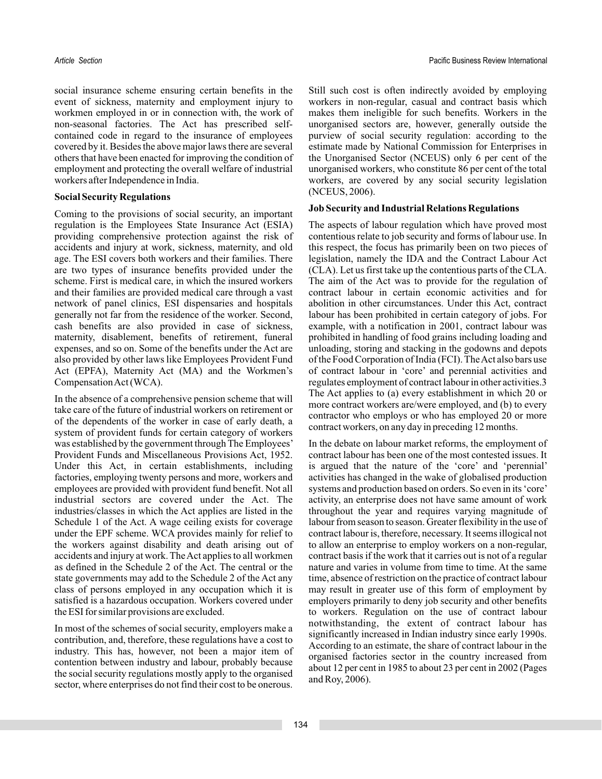social insurance scheme ensuring certain benefits in the event of sickness, maternity and employment injury to workmen employed in or in connection with, the work of non-seasonal factories. The Act has prescribed selfcontained code in regard to the insurance of employees covered by it. Besides the above major laws there are several others that have been enacted for improving the condition of employment and protecting the overall welfare of industrial workers after Independence in India.

### **Social Security Regulations**

Coming to the provisions of social security, an important regulation is the Employees State Insurance Act (ESIA) providing comprehensive protection against the risk of accidents and injury at work, sickness, maternity, and old age. The ESI covers both workers and their families. There are two types of insurance benefits provided under the scheme. First is medical care, in which the insured workers and their families are provided medical care through a vast network of panel clinics, ESI dispensaries and hospitals generally not far from the residence of the worker. Second, cash benefits are also provided in case of sickness, maternity, disablement, benefits of retirement, funeral expenses, and so on. Some of the benefits under the Act are also provided by other laws like Employees Provident Fund Act (EPFA), Maternity Act (MA) and the Workmen's CompensationAct (WCA).

In the absence of a comprehensive pension scheme that will take care of the future of industrial workers on retirement or of the dependents of the worker in case of early death, a system of provident funds for certain category of workers was established by the government through The Employees' Provident Funds and Miscellaneous Provisions Act, 1952. Under this Act, in certain establishments, including factories, employing twenty persons and more, workers and employees are provided with provident fund benefit. Not all industrial sectors are covered under the Act. The industries/classes in which the Act applies are listed in the Schedule 1 of the Act. A wage ceiling exists for coverage under the EPF scheme. WCA provides mainly for relief to the workers against disability and death arising out of accidents and injury at work. TheAct applies to all workmen as defined in the Schedule 2 of the Act. The central or the state governments may add to the Schedule 2 of the Act any class of persons employed in any occupation which it is satisfied is a hazardous occupation. Workers covered under the ESI for similar provisions are excluded.

In most of the schemes of social security, employers make a contribution, and, therefore, these regulations have a cost to industry. This has, however, not been a major item of contention between industry and labour, probably because the social security regulations mostly apply to the organised sector, where enterprises do not find their cost to be onerous.

Still such cost is often indirectly avoided by employing workers in non-regular, casual and contract basis which makes them ineligible for such benefits. Workers in the unorganised sectors are, however, generally outside the purview of social security regulation: according to the estimate made by National Commission for Enterprises in the Unorganised Sector (NCEUS) only 6 per cent of the unorganised workers, who constitute 86 per cent of the total workers, are covered by any social security legislation (NCEUS, 2006).

### **Job Security and Industrial Relations Regulations**

The aspects of labour regulation which have proved most contentious relate to job security and forms of labour use. In this respect, the focus has primarily been on two pieces of legislation, namely the IDA and the Contract Labour Act (CLA). Let us first take up the contentious parts of the CLA. The aim of the Act was to provide for the regulation of contract labour in certain economic activities and for abolition in other circumstances. Under this Act, contract labour has been prohibited in certain category of jobs. For example, with a notification in 2001, contract labour was prohibited in handling of food grains including loading and unloading, storing and stacking in the godowns and depots of the Food Corporation of India (FCI). TheAct also bars use of contract labour in 'core' and perennial activities and regulates employment of contract labour in other activities.3 The Act applies to (a) every establishment in which 20 or more contract workers are/were employed, and (b) to every contractor who employs or who has employed 20 or more contract workers, on any day in preceding 12 months.

In the debate on labour market reforms, the employment of contract labour has been one of the most contested issues. It is argued that the nature of the 'core' and 'perennial' activities has changed in the wake of globalised production systems and production based on orders. So even in its'core' activity, an enterprise does not have same amount of work throughout the year and requires varying magnitude of labour from season to season. Greater flexibility in the use of contract labour is, therefore, necessary. It seems illogical not to allow an enterprise to employ workers on a non-regular, contract basis if the work that it carries out is not of a regular nature and varies in volume from time to time. At the same time, absence of restriction on the practice of contract labour may result in greater use of this form of employment by employers primarily to deny job security and other benefits to workers. Regulation on the use of contract labour notwithstanding, the extent of contract labour has significantly increased in Indian industry since early 1990s. According to an estimate, the share of contract labour in the organised factories sector in the country increased from about 12 per cent in 1985 to about 23 per cent in 2002 (Pages and Roy, 2006).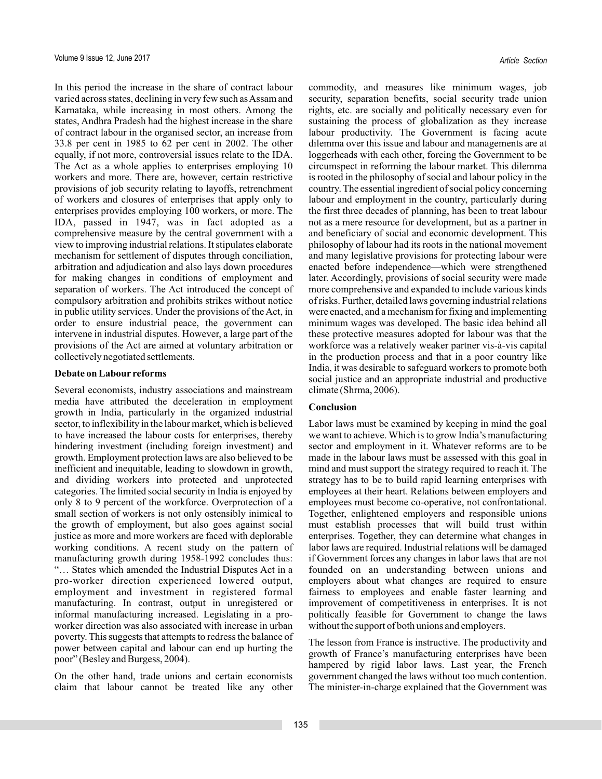In this period the increase in the share of contract labour varied across states, declining in very few such as Assam and Karnataka, while increasing in most others. Among the states, Andhra Pradesh had the highest increase in the share of contract labour in the organised sector, an increase from 33.8 per cent in 1985 to 62 per cent in 2002. The other equally, if not more, controversial issues relate to the IDA. The Act as a whole applies to enterprises employing 10 workers and more. There are, however, certain restrictive provisions of job security relating to layoffs, retrenchment of workers and closures of enterprises that apply only to enterprises provides employing 100 workers, or more. The IDA, passed in 1947, was in fact adopted as a comprehensive measure by the central government with a view to improving industrial relations. It stipulates elaborate mechanism for settlement of disputes through conciliation, arbitration and adjudication and also lays down procedures for making changes in conditions of employment and separation of workers. The Act introduced the concept of compulsory arbitration and prohibits strikes without notice in public utility services. Under the provisions of the Act, in order to ensure industrial peace, the government can intervene in industrial disputes. However, a large part of the provisions of the Act are aimed at voluntary arbitration or collectively negotiated settlements.

### **Debate on Labour reforms**

Several economists, industry associations and mainstream media have attributed the deceleration in employment growth in India, particularly in the organized industrial sector, to inflexibility in the labour market, which is believed to have increased the labour costs for enterprises, thereby hindering investment (including foreign investment) and growth. Employment protection laws are also believed to be inefficient and inequitable, leading to slowdown in growth, and dividing workers into protected and unprotected categories. The limited social security in India is enjoyed by only 8 to 9 percent of the workforce. Overprotection of a small section of workers is not only ostensibly inimical to the growth of employment, but also goes against social justice as more and more workers are faced with deplorable working conditions. A recent study on the pattern of manufacturing growth during 1958-1992 concludes thus: "… States which amended the Industrial Disputes Act in a pro-worker direction experienced lowered output, employment and investment in registered formal manufacturing. In contrast, output in unregistered or informal manufacturing increased. Legislating in a proworker direction was also associated with increase in urban poverty. This suggests that attempts to redress the balance of power between capital and labour can end up hurting the poor" (Besley and Burgess, 2004).

On the other hand, trade unions and certain economists claim that labour cannot be treated like any other

commodity, and measures like minimum wages, job security, separation benefits, social security trade union rights, etc. are socially and politically necessary even for sustaining the process of globalization as they increase labour productivity. The Government is facing acute dilemma over this issue and labour and managements are at loggerheads with each other, forcing the Government to be circumspect in reforming the labour market. This dilemma is rooted in the philosophy of social and labour policy in the country. The essential ingredient of social policy concerning labour and employment in the country, particularly during the first three decades of planning, has been to treat labour not as a mere resource for development, but as a partner in and beneficiary of social and economic development. This philosophy of labour had its roots in the national movement and many legislative provisions for protecting labour were enacted before independence—which were strengthened later. Accordingly, provisions of social security were made more comprehensive and expanded to include various kinds of risks. Further, detailed laws governing industrial relations were enacted, and a mechanism for fixing and implementing minimum wages was developed. The basic idea behind all these protective measures adopted for labour was that the workforce was a relatively weaker partner vis-à-vis capital in the production process and that in a poor country like India, it was desirable to safeguard workers to promote both social justice and an appropriate industrial and productive climate (Shrma, 2006).

### **Conclusion**

Labor laws must be examined by keeping in mind the goal we want to achieve. Which is to grow India's manufacturing sector and employment in it. Whatever reforms are to be made in the labour laws must be assessed with this goal in mind and must support the strategy required to reach it. The strategy has to be to build rapid learning enterprises with employees at their heart. Relations between employers and employees must become co-operative, not confrontational. Together, enlightened employers and responsible unions must establish processes that will build trust within enterprises. Together, they can determine what changes in labor laws are required. Industrial relations will be damaged if Government forces any changes in labor laws that are not founded on an understanding between unions and employers about what changes are required to ensure fairness to employees and enable faster learning and improvement of competitiveness in enterprises. It is not politically feasible for Government to change the laws without the support of both unions and employers.

The lesson from France is instructive. The productivity and growth of France's manufacturing enterprises have been hampered by rigid labor laws. Last year, the French government changed the laws without too much contention. The minister-in-charge explained that the Government was